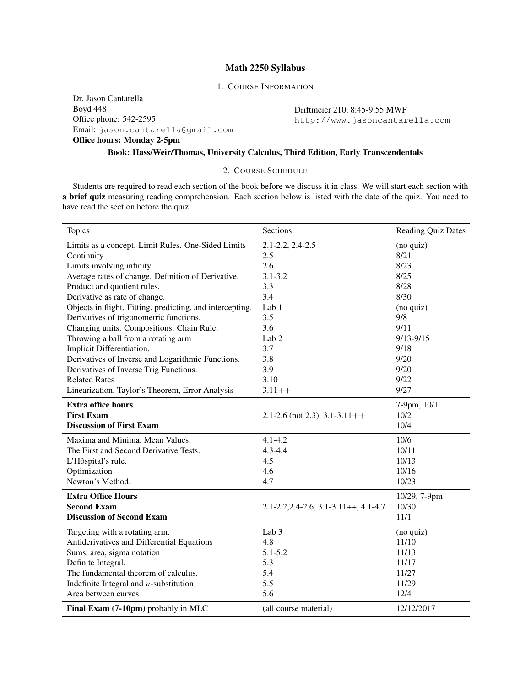## Math 2250 Syllabus

## 1. COURSE INFORMATION

Dr. Jason Cantarella Boyd 448 Office phone: 542-2595 Email: jason.cantarella@gmail.com Office hours: Monday 2-5pm

Driftmeier 210, 8:45-9:55 MWF http://www.jasoncantarella.com

# Book: Hass/Weir/Thomas, University Calculus, Third Edition, Early Transcendentals

### 2. COURSE SCHEDULE

Students are required to read each section of the book before we discuss it in class. We will start each section with a brief quiz measuring reading comprehension. Each section below is listed with the date of the quiz. You need to have read the section before the quiz.

| <b>Topics</b>                                             | Sections                                          | <b>Reading Quiz Dates</b> |
|-----------------------------------------------------------|---------------------------------------------------|---------------------------|
| Limits as a concept. Limit Rules. One-Sided Limits        | $2.1 - 2.2, 2.4 - 2.5$                            | (no quiz)                 |
| Continuity                                                | 2.5                                               | 8/21                      |
| Limits involving infinity                                 | 2.6                                               | 8/23                      |
| Average rates of change. Definition of Derivative.        | $3.1 - 3.2$                                       | 8/25                      |
| Product and quotient rules.                               | 3.3                                               | 8/28                      |
| Derivative as rate of change.                             | 3.4                                               | 8/30                      |
| Objects in flight. Fitting, predicting, and intercepting. | Lab 1                                             | (no quiz)                 |
| Derivatives of trigonometric functions.                   | 3.5                                               | 9/8                       |
| Changing units. Compositions. Chain Rule.                 | 3.6                                               | 9/11                      |
| Throwing a ball from a rotating arm                       | Lab <sub>2</sub>                                  | $9/13 - 9/15$             |
| Implicit Differentiation.                                 | 3.7                                               | 9/18                      |
| Derivatives of Inverse and Logarithmic Functions.         | 3.8                                               | 9/20                      |
| Derivatives of Inverse Trig Functions.                    | 3.9                                               | 9/20                      |
| <b>Related Rates</b>                                      | 3.10                                              | 9/22                      |
| Linearization, Taylor's Theorem, Error Analysis           | $3.11++$                                          | 9/27                      |
| <b>Extra office hours</b>                                 |                                                   | 7-9pm, 10/1               |
| <b>First Exam</b>                                         | 2.1-2.6 (not 2.3), $3.1-3.11++$                   | 10/2                      |
| <b>Discussion of First Exam</b>                           |                                                   | 10/4                      |
| Maxima and Minima, Mean Values.                           | $4.1 - 4.2$                                       | 10/6                      |
| The First and Second Derivative Tests.                    | $4.3 - 4.4$                                       | 10/11                     |
| L'Hôspital's rule.                                        | 4.5                                               | 10/13                     |
| Optimization                                              | 4.6                                               | 10/16                     |
| Newton's Method.                                          | 4.7                                               | 10/23                     |
| <b>Extra Office Hours</b>                                 |                                                   | 10/29, 7-9pm              |
| <b>Second Exam</b>                                        | $2.1 - 2.2, 2.4 - 2.6, 3.1 - 3.11 + +, 4.1 - 4.7$ | 10/30                     |
| <b>Discussion of Second Exam</b>                          |                                                   | 11/1                      |
| Targeting with a rotating arm.                            | Lab <sub>3</sub>                                  | (no quiz)                 |
| Antiderivatives and Differential Equations                | 4.8                                               | 11/10                     |
| Sums, area, sigma notation                                | $5.1 - 5.2$                                       | 11/13                     |
| Definite Integral.                                        | 5.3                                               | 11/17                     |
| The fundamental theorem of calculus.                      | 5.4                                               | 11/27                     |
| Indefinite Integral and $u$ -substitution                 | 5.5                                               | 11/29                     |
| Area between curves                                       | 5.6                                               | 12/4                      |
| Final Exam (7-10pm) probably in MLC                       | (all course material)                             | 12/12/2017                |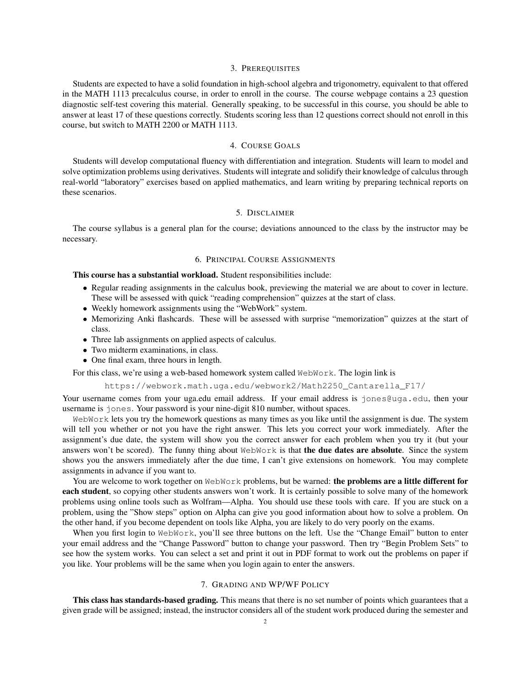#### 3. PREREQUISITES

Students are expected to have a solid foundation in high-school algebra and trigonometry, equivalent to that offered in the MATH 1113 precalculus course, in order to enroll in the course. The course webpage contains a 23 question diagnostic self-test covering this material. Generally speaking, to be successful in this course, you should be able to answer at least 17 of these questions correctly. Students scoring less than 12 questions correct should not enroll in this course, but switch to MATH 2200 or MATH 1113.

#### 4. COURSE GOALS

Students will develop computational fluency with differentiation and integration. Students will learn to model and solve optimization problems using derivatives. Students will integrate and solidify their knowledge of calculus through real-world "laboratory" exercises based on applied mathematics, and learn writing by preparing technical reports on these scenarios.

### 5. DISCLAIMER

The course syllabus is a general plan for the course; deviations announced to the class by the instructor may be necessary.

#### 6. PRINCIPAL COURSE ASSIGNMENTS

This course has a substantial workload. Student responsibilities include:

- Regular reading assignments in the calculus book, previewing the material we are about to cover in lecture. These will be assessed with quick "reading comprehension" quizzes at the start of class.
- Weekly homework assignments using the "WebWork" system.
- Memorizing Anki flashcards. These will be assessed with surprise "memorization" quizzes at the start of class.
- Three lab assignments on applied aspects of calculus.
- Two midterm examinations, in class.
- One final exam, three hours in length.

For this class, we're using a web-based homework system called WebWork. The login link is

https://webwork.math.uga.edu/webwork2/Math2250\_Cantarella\_F17/

Your username comes from your uga.edu email address. If your email address is jones@uga.edu, then your username is jones. Your password is your nine-digit 810 number, without spaces.

WebWork lets you try the homework questions as many times as you like until the assignment is due. The system will tell you whether or not you have the right answer. This lets you correct your work immediately. After the assignment's due date, the system will show you the correct answer for each problem when you try it (but your answers won't be scored). The funny thing about WebWork is that the due dates are absolute. Since the system shows you the answers immediately after the due time, I can't give extensions on homework. You may complete assignments in advance if you want to.

You are welcome to work together on WebWork problems, but be warned: the problems are a little different for **each student**, so copying other students answers won't work. It is certainly possible to solve many of the homework problems using online tools such as Wolfram—Alpha. You should use these tools with care. If you are stuck on a problem, using the "Show steps" option on Alpha can give you good information about how to solve a problem. On the other hand, if you become dependent on tools like Alpha, you are likely to do very poorly on the exams.

When you first login to WebWork, you'll see three buttons on the left. Use the "Change Email" button to enter your email address and the "Change Password" button to change your password. Then try "Begin Problem Sets" to see how the system works. You can select a set and print it out in PDF format to work out the problems on paper if you like. Your problems will be the same when you login again to enter the answers.

#### 7. GRADING AND WP/WF POLICY

This class has standards-based grading. This means that there is no set number of points which guarantees that a given grade will be assigned; instead, the instructor considers all of the student work produced during the semester and